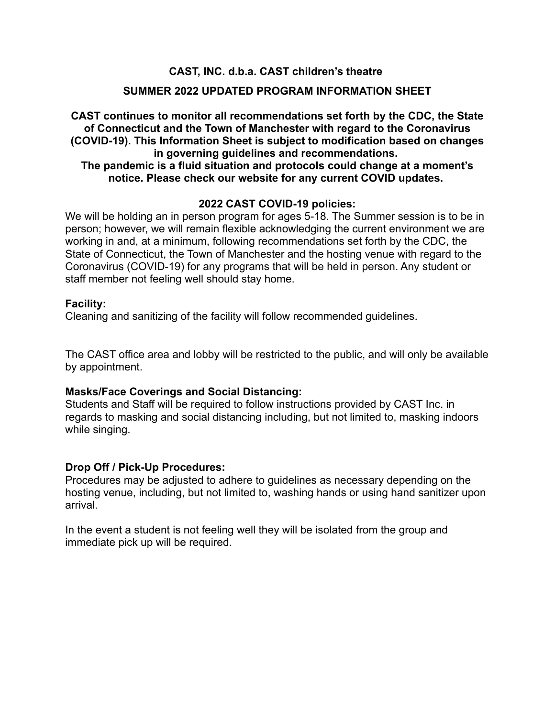# **CAST, INC. d.b.a. CAST children's theatre**

# **SUMMER 2022 UPDATED PROGRAM INFORMATION SHEET**

# **CAST continues to monitor all recommendations set forth by the CDC, the State of Connecticut and the Town of Manchester with regard to the Coronavirus (COVID-19). This Information Sheet is subject to modification based on changes in governing guidelines and recommendations.**

# **The pandemic is a fluid situation and protocols could change at a moment's notice. Please check our website for any current COVID updates.**

# **2022 CAST COVID-19 policies:**

We will be holding an in person program for ages 5-18. The Summer session is to be in person; however, we will remain flexible acknowledging the current environment we are working in and, at a minimum, following recommendations set forth by the CDC, the State of Connecticut, the Town of Manchester and the hosting venue with regard to the Coronavirus (COVID-19) for any programs that will be held in person. Any student or staff member not feeling well should stay home.

#### **Facility:**

Cleaning and sanitizing of the facility will follow recommended guidelines.

The CAST office area and lobby will be restricted to the public, and will only be available by appointment.

#### **Masks/Face Coverings and Social Distancing:**

Students and Staff will be required to follow instructions provided by CAST Inc. in regards to masking and social distancing including, but not limited to, masking indoors while singing.

#### **Drop Off / Pick-Up Procedures:**

Procedures may be adjusted to adhere to guidelines as necessary depending on the hosting venue, including, but not limited to, washing hands or using hand sanitizer upon arrival.

In the event a student is not feeling well they will be isolated from the group and immediate pick up will be required.